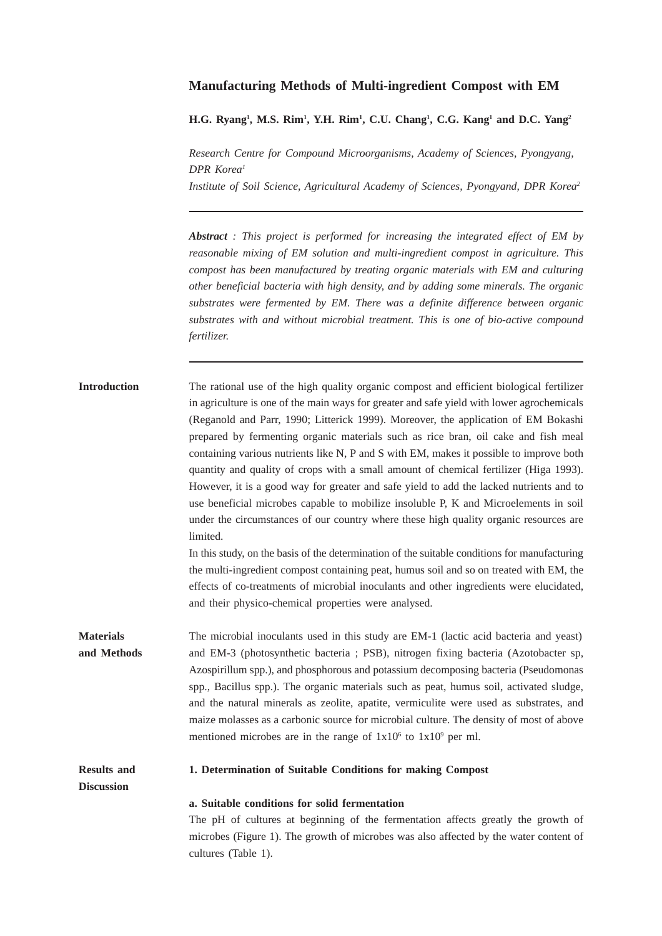# **Manufacturing Methods of Multi-ingredient Compost with EM**

**H.G. Ryang1 , M.S. Rim1 , Y.H. Rim1 , C.U. Chang1 , C.G. Kang1 and D.C. Yang2**

*Research Centre for Compound Microorganisms, Academy of Sciences, Pyongyang, DPR Korea1 Institute of Soil Science, Agricultural Academy of Sciences, Pyongyand, DPR Korea2*

*Abstract : This project is performed for increasing the integrated effect of EM by reasonable mixing of EM solution and multi-ingredient compost in agriculture. This compost has been manufactured by treating organic materials with EM and culturing other beneficial bacteria with high density, and by adding some minerals. The organic substrates were fermented by EM. There was a definite difference between organic substrates with and without microbial treatment. This is one of bio-active compound fertilizer.*

| <b>Introduction</b> | The rational use of the high quality organic compost and efficient biological fertilizer   |
|---------------------|--------------------------------------------------------------------------------------------|
|                     | in agriculture is one of the main ways for greater and safe yield with lower agrochemicals |
|                     | (Reganold and Parr, 1990; Litterick 1999). Moreover, the application of EM Bokashi         |
|                     | prepared by fermenting organic materials such as rice bran, oil cake and fish meal         |
|                     | containing various nutrients like N, P and S with EM, makes it possible to improve both    |
|                     | quantity and quality of crops with a small amount of chemical fertilizer (Higa 1993).      |
|                     | However, it is a good way for greater and safe yield to add the lacked nutrients and to    |
|                     | use beneficial microbes capable to mobilize insoluble P, K and Microelements in soil       |
|                     | under the circumstances of our country where these high quality organic resources are      |
|                     | limited.                                                                                   |
|                     |                                                                                            |

In this study, on the basis of the determination of the suitable conditions for manufacturing the multi-ingredient compost containing peat, humus soil and so on treated with EM, the effects of co-treatments of microbial inoculants and other ingredients were elucidated, and their physico-chemical properties were analysed.

**Materials** The microbial inoculants used in this study are EM-1 (lactic acid bacteria and yeast) **and Methods** and EM-3 (photosynthetic bacteria ; PSB), nitrogen fixing bacteria (Azotobacter sp, Azospirillum spp.), and phosphorous and potassium decomposing bacteria (Pseudomonas spp., Bacillus spp.). The organic materials such as peat, humus soil, activated sludge, and the natural minerals as zeolite, apatite, vermiculite were used as substrates, and maize molasses as a carbonic source for microbial culture. The density of most of above mentioned microbes are in the range of  $1x10^6$  to  $1x10^9$  per ml.

## **Results and 1. Determination of Suitable Conditions for making Compost**

**Discussion**

## **a. Suitable conditions for solid fermentation**

The pH of cultures at beginning of the fermentation affects greatly the growth of microbes (Figure 1). The growth of microbes was also affected by the water content of cultures (Table 1).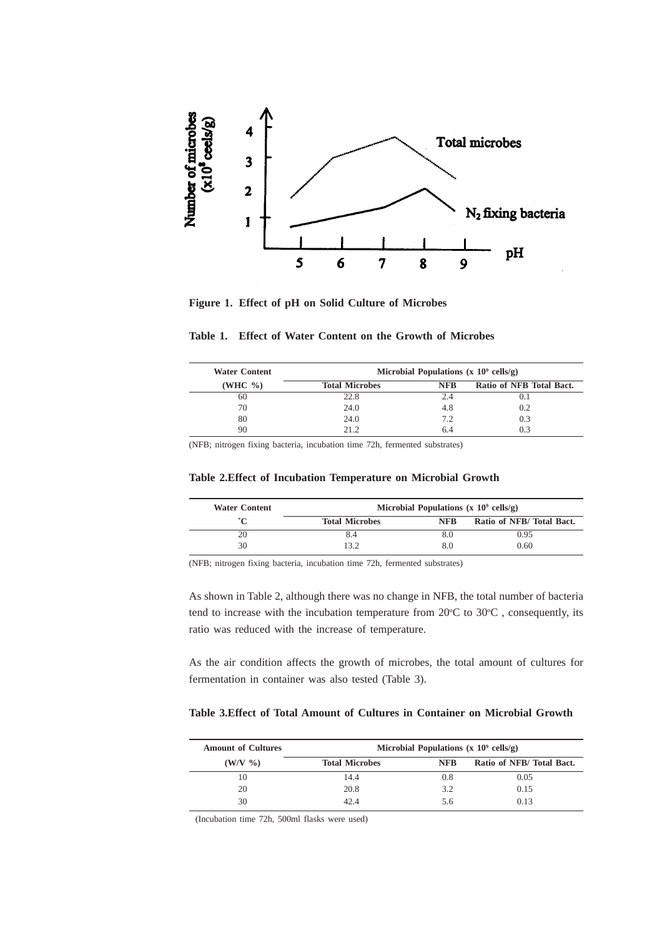

**Figure 1. Effect of pH on Solid Culture of Microbes**

| Table 1. Effect of Water Content on the Growth of Microbes |  |  |  |  |  |  |  |  |  |  |
|------------------------------------------------------------|--|--|--|--|--|--|--|--|--|--|
|------------------------------------------------------------|--|--|--|--|--|--|--|--|--|--|

| <b>Water Content</b> | Microbial Populations $(x 10^9 \text{ cells/g})$ |            |                          |  |  |  |  |  |
|----------------------|--------------------------------------------------|------------|--------------------------|--|--|--|--|--|
| (WHC $\%$ )          | <b>Total Microbes</b>                            | <b>NFB</b> | Ratio of NFB Total Bact. |  |  |  |  |  |
| 60                   | 22.8                                             |            |                          |  |  |  |  |  |
| 70                   | 24.0                                             | 4.8        | 0.2                      |  |  |  |  |  |
| 80                   | 24.0                                             | 7.2        | 0.3                      |  |  |  |  |  |
|                      | 21 Z                                             |            |                          |  |  |  |  |  |

(NFB; nitrogen fixing bacteria, incubation time 72h, fermented substrates)

### **Table 2.Effect of Incubation Temperature on Microbial Growth**

| <b>Water Content</b> |                       | Microbial Populations $(x 10^9 \text{ cells/g})$ |                          |
|----------------------|-----------------------|--------------------------------------------------|--------------------------|
| ∙~                   | <b>Total Microbes</b> | <b>NFB</b>                                       | Ratio of NFB/Total Bact. |
| 20                   | 8.4                   | 8.0                                              | 0.95                     |
| 30                   | 13.2                  | 8.0                                              | 0.60                     |

(NFB; nitrogen fixing bacteria, incubation time 72h, fermented substrates)

As shown in Table 2, although there was no change in NFB, the total number of bacteria tend to increase with the incubation temperature from  $20^{\circ}$ C to  $30^{\circ}$ C, consequently, its ratio was reduced with the increase of temperature.

As the air condition affects the growth of microbes, the total amount of cultures for fermentation in container was also tested (Table 3).

# **Table 3.Effect of Total Amount of Cultures in Container on Microbial Growth**

| <b>Amount of Cultures</b> | Microbial Populations (x $10^9$ cells/g) |            |                          |  |  |  |  |
|---------------------------|------------------------------------------|------------|--------------------------|--|--|--|--|
| $(W/V \ \% )$             | <b>Total Microbes</b>                    | <b>NFB</b> | Ratio of NFB/Total Bact. |  |  |  |  |
| 10                        | 14.4                                     | 0.8        | 0.05                     |  |  |  |  |
| 20                        | 20.8                                     | 32         | 0.15                     |  |  |  |  |
| 30                        | 42 A                                     | ን ሰ        | 0.13                     |  |  |  |  |

(Incubation time 72h, 500ml flasks were used)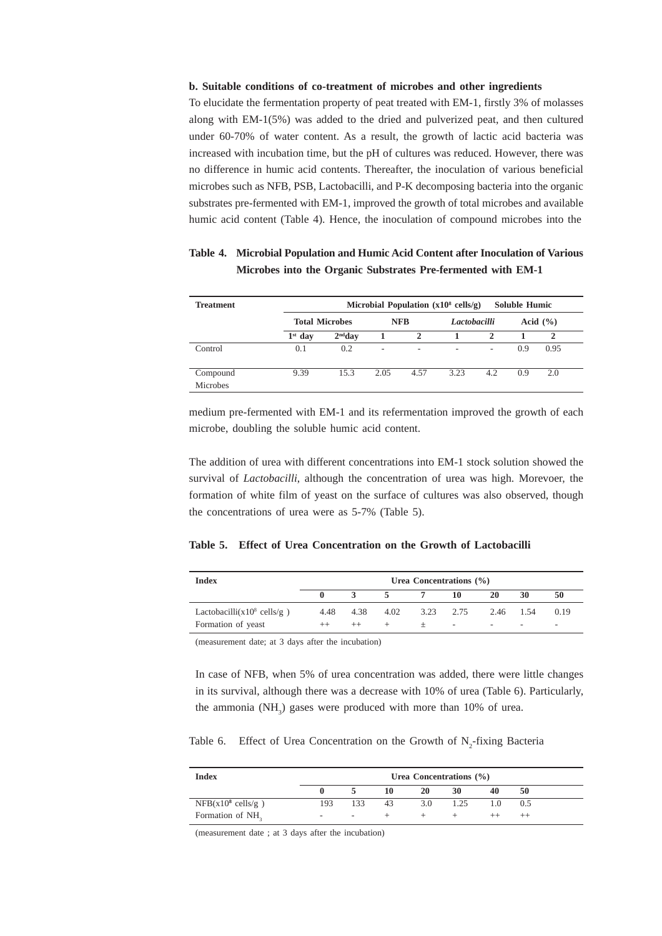#### **b. Suitable conditions of co-treatment of microbes and other ingredients**

To elucidate the fermentation property of peat treated with EM-1, firstly 3% of molasses along with EM-1(5%) was added to the dried and pulverized peat, and then cultured under 60-70% of water content. As a result, the growth of lactic acid bacteria was increased with incubation time, but the pH of cultures was reduced. However, there was no difference in humic acid contents. Thereafter, the inoculation of various beneficial microbes such as NFB, PSB, Lactobacilli, and P-K decomposing bacteria into the organic substrates pre-fermented with EM-1, improved the growth of total microbes and available humic acid content (Table 4). Hence, the inoculation of compound microbes into the

| <b>Treatment</b> |                       |           |      |            | Microbial Population $(x10^8 \text{ cells/g})$ |     | <b>Soluble Humic</b> |              |
|------------------|-----------------------|-----------|------|------------|------------------------------------------------|-----|----------------------|--------------|
|                  | <b>Total Microbes</b> |           |      | <b>NFB</b> | Lactobacilli                                   |     |                      | Acid $(\% )$ |
|                  | $1st$ day             | $2nd$ dav |      | 2          |                                                | 2   |                      | $\mathbf{2}$ |
| Control          | 0.1                   | 0.2       | ۰    | ۰          | $\overline{\phantom{a}}$                       | ۰   | 0.9                  | 0.95         |
| Compound         | 9.39                  | 15.3      | 2.05 | 4.57       | 3.23                                           | 4.2 | 0.9                  | 2.0          |
| <b>Microbes</b>  |                       |           |      |            |                                                |     |                      |              |

# **Table 4. Microbial Population and Humic Acid Content after Inoculation of Various Microbes into the Organic Substrates Pre-fermented with EM-1**

medium pre-fermented with EM-1 and its refermentation improved the growth of each microbe, doubling the soluble humic acid content.

The addition of urea with different concentrations into EM-1 stock solution showed the survival of *Lactobacilli*, although the concentration of urea was high. Morevoer, the formation of white film of yeast on the surface of cultures was also observed, though the concentrations of urea were as 5-7% (Table 5).

## **Table 5. Effect of Urea Concentration on the Growth of Lactobacilli**

| <b>Index</b>                                                 | Urea Concentrations $(\% )$ |                 |      |        |                     |                          |                                       |      |
|--------------------------------------------------------------|-----------------------------|-----------------|------|--------|---------------------|--------------------------|---------------------------------------|------|
|                                                              |                             |                 | 5    |        | 10                  | 20                       | 30                                    | 50   |
| Lactobacilli $(x10^8 \text{ cells/g})$<br>Formation of yeast | 4.48                        | 4.38<br>$^{++}$ | 4.02 | $^{+}$ | 3.23 2.75<br>$\sim$ | $\overline{\phantom{a}}$ | 2.46 1.54<br>$\overline{\phantom{a}}$ | 0.19 |

(measurement date; at 3 days after the incubation)

In case of NFB, when 5% of urea concentration was added, there were little changes in its survival, although there was a decrease with 10% of urea (Table 6). Particularly, the ammonia  $(NH_3)$  gases were produced with more than 10% of urea.

Table 6. Effect of Urea Concentration on the Growth of  $N_2$ -fixing Bacteria

| <b>Index</b>                 |     |     |    |     | Urea Concentrations $(\% )$ |    |     |
|------------------------------|-----|-----|----|-----|-----------------------------|----|-----|
|                              |     |     | 10 | 20  | 30                          | 40 | 50  |
| $NFB(x10^8 \text{ cells/g})$ | 193 | 133 | 43 | 3.0 | 1.25                        | 10 | 0.5 |
| Formation of NH <sub>2</sub> | ۰   |     |    |     |                             |    |     |

(measurement date ; at 3 days after the incubation)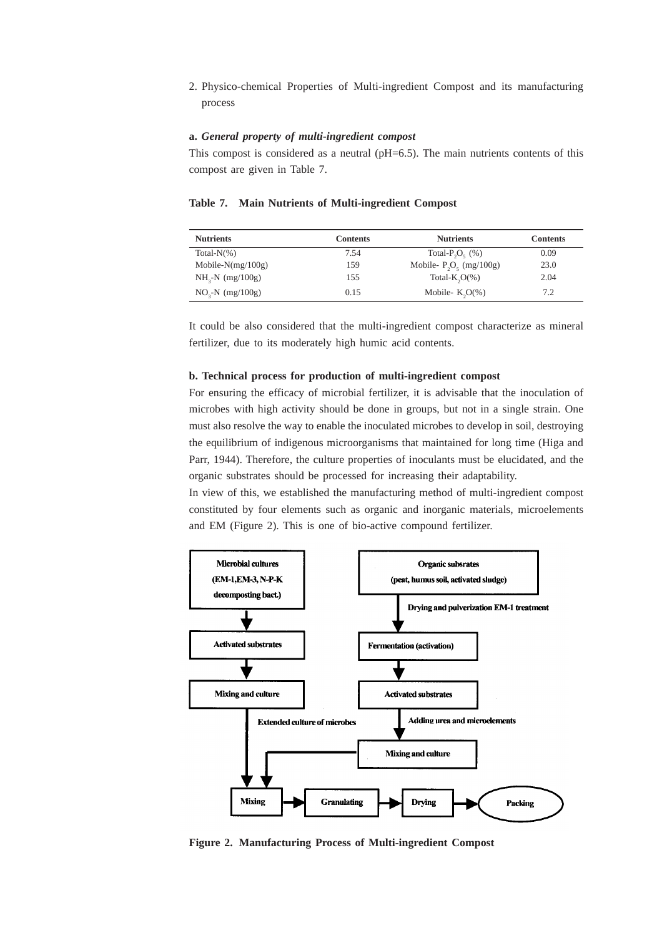2. Physico-chemical Properties of Multi-ingredient Compost and its manufacturing process

## **a.** *General property of multi-ingredient compost*

This compost is considered as a neutral  $(pH=6.5)$ . The main nutrients contents of this compost are given in Table 7.

| <b>Nutrients</b>     | <b>Contents</b> | <b>Nutrients</b>                           | <b>Contents</b> |
|----------------------|-----------------|--------------------------------------------|-----------------|
| Total- $N(\%)$       | 7.54            | Total-P <sub>2</sub> O <sub>c</sub> $(\%)$ | 0.09            |
| Mobile- $N(mg/100g)$ | 159             | Mobile- $P_2O_5$ (mg/100g)                 | 23.0            |
| $NH3-N$ (mg/100g)    | 155             | Total- $K, O(\% )$                         | 2.04            |
| $NO3-N$ (mg/100g)    | 0.15            | Mobile- $K_2O(\%)$                         | 7.2             |

It could be also considered that the multi-ingredient compost characterize as mineral fertilizer, due to its moderately high humic acid contents.

#### **b. Technical process for production of multi-ingredient compost**

For ensuring the efficacy of microbial fertilizer, it is advisable that the inoculation of microbes with high activity should be done in groups, but not in a single strain. One must also resolve the way to enable the inoculated microbes to develop in soil, destroying the equilibrium of indigenous microorganisms that maintained for long time (Higa and Parr, 1944). Therefore, the culture properties of inoculants must be elucidated, and the organic substrates should be processed for increasing their adaptability.

In view of this, we established the manufacturing method of multi-ingredient compost constituted by four elements such as organic and inorganic materials, microelements and EM (Figure 2). This is one of bio-active compound fertilizer.



**Figure 2. Manufacturing Process of Multi-ingredient Compost**